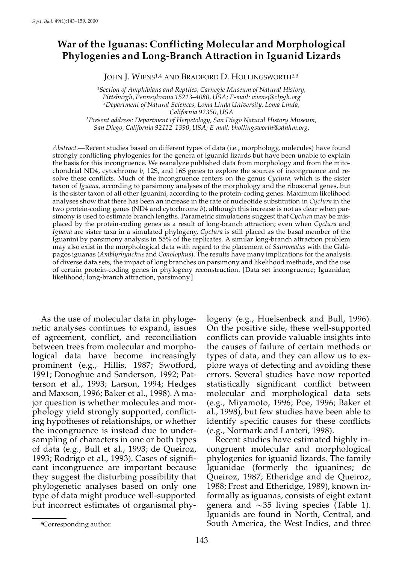# **War of the Iguanas: Conflicting Molecular and Morphological Phylogenies and Long-Branch Attraction in Iguanid Lizards**

JOHN J. WIENS<sup>1,4</sup> AND BRADFORD D. HOLLINGSWORTH<sup>2,3</sup>

*<sup>1</sup>Section of Amphibians and Reptiles, Carnegie Museum of Natural History, Pittsburgh, Pennsylvania 15213–4080, USA; E-mail: wiensj@clpgh.org <sup>2</sup>Department of Natural Sciences, Loma Linda University, Loma Linda, California 92350, USA <sup>3</sup>Present address: Department of Herpetology, San Diego Natural History Museum,* 

*San Diego, California 92112–1390, USA; E-mail: bhollingsworth@sdnhm.org.*

*Abstract.*—Recent studies based on different types of data (i.e., morphology, molecules) have found strongly conflicting phylogenies for the genera of iguanid lizards but have been unable to explain the basis for this incongruence. We reanalyze published data from morphology and from the mitochondrial ND4, cytochrome *b,* 12S, and 16S genes to explore the sources of incongruence and re solve these conflicts. Much of the incongruence centers on the genus *Cyclura,* which is the sister taxon of *Iguana,* according to parsimony analyses of the morphology and the ribosomal genes, but is the sister taxon of all other Iguanini, according to the protein-coding genes. Maximum likelihood analyses show that there has been an increase in the rate of nucleotide substitution in *Cyclura* in the two protein-coding genes (ND4 and cytochrome *b*), although this increase is not as clear when parsimony is used to estimate branch lengths. Parametric simulations suggest that *Cyclura* may be misplaced by the protein-coding genes as a result of long-branch attraction; even when *Cyclura* and *Iguana* are sister taxa in a simulated phylogeny, *Cyclura* is still placed as the basal member of the Iguanini by parsimony analysis in 55% of the replicates. A similar long-branch attraction problem may also exist in the morphological data with regard to the placement of *Sauromalus* with the Galá pagos iguanas (*Amblyrhynchus* and *Conolophus*). The results have many implications for the analysis of diverse data sets, the impact of long branches on parsimony and likelihood methods, and the use of certain protein-coding genes in phylogeny reconstruction. [Data set incongruence; Iguanidae; likelihood; long-branch attraction, parsimony.]

As the use of molecular data in phylogenetic analyses continues to expand, issues of agreement, conflict, and reconciliation between trees from molecular and morphological data have become increasingly prominent (e.g., Hillis, 1987; Swofford, 1991; Donoghue and Sanderson, 1992; Patterson et al., 1993; Larson, 1994; Hedges and Maxson, 1996; Baker et al., 1998). A major question is whether molecules and morphology yield strongly supported, conflicting hypotheses of relationships, or whether the incongruence is instead due to undersampling of characters in one or both types of data (e.g., Bull et al., 1993; de Queiroz, 1993; Rodrigo et al., 1993). Cases of significant incongruence are important because they suggest the disturbing possibility that phylogenetic analyses based on only one type of data might produce well-supported but incorrect estimates of organismal phylogeny (e.g., Huelsenbeck and Bull, 1996). On the positive side, these well-supported conflicts can provide valuable insights into the causes of failure of certain methods or types of data, and they can allow us to explore ways of detecting and avoiding these errors. Several studies have now reported statistically significant conflict between molecular and morphological data sets (e.g., Miyamoto, 1996; Poe, 1996; Baker et al., 1998), but few studies have been able to identify specific causes for these conflicts (e.g., Normark and Lanteri, 1998).

Recent studies have estimated highly incongruent molecular and morphological phylogenies for iguanid lizards. The family Iguanidae (formerly the iguanines; de Queiroz, 1987; Etheridge and de Queiroz, 1988; Frost and Etheridge, 1989), known informally as iguanas, consists of eight extant genera and  $\sim$ 35 living species (Table 1). Iguanids are found in North, Central, and South America, the West Indies, and three

<sup>4</sup>Corresponding author.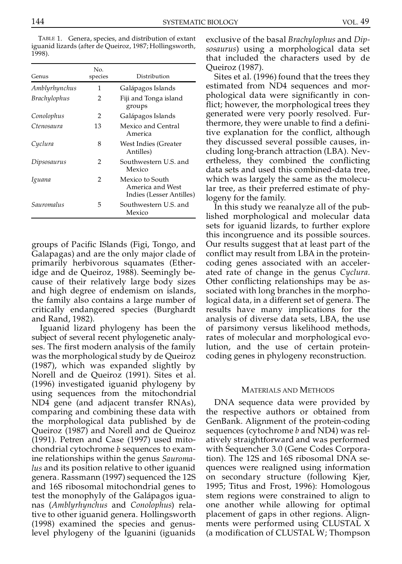TABLE 1. Genera, species, and distribution of extant iguanid lizards (after de Queiroz, 1987; Hollingsworth, 1998).

| Genus               | No.<br>species | Distribution                                                    |
|---------------------|----------------|-----------------------------------------------------------------|
| Amblyrhynchus       | 1              | Galápagos Islands                                               |
| <i>Brachylophus</i> | 2              | Fiji and Tonga island<br>groups                                 |
| Conolophus          | 2              | Galápagos Islands                                               |
| Ctenosaura          | 13             | Mexico and Central<br>America                                   |
| Cyclura             | 8              | West Indies (Greater<br>Antilles)                               |
| Dipsosaurus         | 2              | Southwestern U.S. and<br>Mexico                                 |
| Iguana              | $\overline{2}$ | Mexico to South<br>America and West<br>Indies (Lesser Antilles) |
| Sauromalus          | 5              | Southwestern U.S. and<br>Mexico                                 |

groups of Pacific ISlands (Figi, Tongo, and Galapagas) and are the only major clade of primarily herbivorous squamates (Etheridge and de Queiroz, 1988). Seemingly because of their relatively large body sizes and high degree of endemism on islands, the family also contains a large number of critically endangered species (Burghardt and Rand, 1982).

Iguanid lizard phylogeny has been the subject of several recent phylogenetic analyses. The first modern analysis of the family was the morphological study by de Queiroz (1987), which was expanded slightly by Norell and de Queiroz (1991). Sites et al. (1996) investigated iguanid phylogeny by using sequences from the mitochondrial ND4 gene (and adjacent transfer RNAs), comparing and combining these data with the morphological data published by de Queiroz (1987) and Norell and de Queiroz (1991). Petren and Case (1997) used mitochondrial cytochrome *b* sequences to examine relationships within the genus *Sauromalus* and its position relative to other iguanid genera. Rassmann (1997) sequenced the 12S and 16S ribosomal mitochondrial genes to test the monophyly of the Galápagos iguanas (*Amblyrhynchus* and *Conolophus*) relative to other iguanid genera. Hollingsworth (1998) examined the species and genuslevel phylogeny of the Iguanini (iguanids

exclusive of the basal *Brachylophus* and *Dipsosaurus*) using a morphological data set that included the characters used by de Queiroz (1987).

Sites et al. (1996) found that the trees they estimated from ND4 sequences and morphological data were significantly in conflict; however, the morphological trees they generated were very poorly resolved. Furthermore, they were unable to find a definitive explanation for the conflict, although they discussed several possible causes, including long-branch attraction (LBA). Nevertheless, they combined the conflicting data sets and used this combined-data tree, which was largely the same as the molecular tree, as their preferred estimate of phylogeny for the family.

In this study we reanalyze all of the published morphological and molecular data sets for iguanid lizards, to further explore this incongruence and its possible sources. Our results suggest that at least part of the conflict may result from LBA in the proteincoding genes associated with an accelerated rate of change in the genus *Cyclura.* Other conflicting relationships may be associated with long branches in the morphological data, in a different set of genera. The results have many implications for the analysis of diverse data sets, LBA, the use of parsimony versus likelihood methods, rates of molecular and morphological evolution, and the use of certain proteincoding genes in phylogeny reconstruction.

### MATERIALS AND METHODS

DNA sequence data were provided by the respective authors or obtained from GenBank. Alignment of the protein-coding sequences (cytochrome *b* and ND4) was relatively straightforward and was performed with Sequencher 3.0 (Gene Codes Corporation). The 12S and 16S ribosomal DNA sequences were realigned using information on secondary structure (following Kjer, 1995; Titus and Frost, 1996): Homologous stem regions were constrained to align to one another while allowing for optimal placement of gaps in other regions. Alignments were performed using CLUSTAL X (a modification of CLUSTAL W; Thompson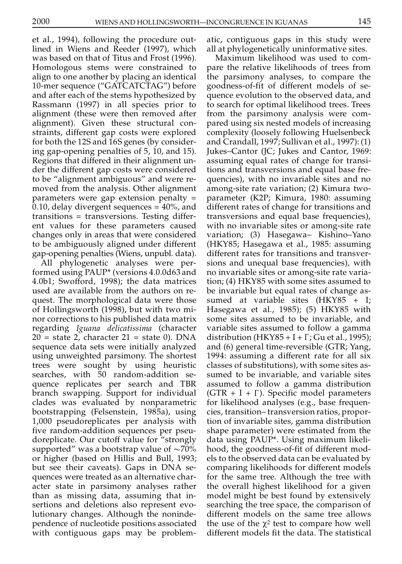et al., 1994), following the procedure outlined in Wiens and Reeder (1997), which was based on that of Titus and Frost (1996). Homologous stems were constrained to align to one another by placing an identical 10-mer sequence ("GATCATCTAG") before and after each of the stems hypothesized by Rassmann (1997) in all species prior to alignment (these were then removed after alignment). Given these structural constraints, different gap costs were explored for both the 12S and 16S genes (by considering gap-opening penalties of 5, 10, and 15). Regions that differed in their alignment under the different gap costs were considered to be "alignment ambiguous" and were removed from the analysis. Other alignment parameters were gap extension penalty = 0.10, delay divergent sequences = 40%, and transitions = transversions. Testing different values for these parameters caused changes only in areas that were considered to be ambiguously aligned under different gap-opening penalties (Wiens, unpubl. data).

All phylogenetic analyses were performed using PAUP\* (versions 4.0.0d63 and 4.0b1; Swofford, 1998); the data matrices used are available from the authors on request. The morphological data were those of Hollingsworth (1998), but with two minor corrections to his published data matrix regarding *Iguana delicatissima* (character  $20 =$  state 2, character  $21 =$  state 0). DNA sequence data sets were initially analyzed using unweighted parsimony. The shortest trees were sought by using heuristic searches, with 50 random-addition sequence replicates per search and TBR branch swapping. Support for individual clades was evaluated by nonparametric bootstrapping (Felsenstein, 1985a), using 1,000 pseudoreplicates per analysis with five random-addition sequences per pseudoreplicate. Our cutoff value for "strongly supported" was a bootstrap value of  $\sim$ 70% or higher (based on Hillis and Bull, 1993; but see their caveats). Gaps in DNA sequences were treated as an alternative character state in parsimony analyses rather than as missing data, assuming that insertions and deletions also represent evolutionary changes. Although the nonindependence of nucleotide positions associated with contiguous gaps may be problematic, contiguous gaps in this study were all at phylogenetically uninformative sites.

Maximum likelihood was used to compare the relative likelihoods of trees from the parsimony analyses, to compare the goodness-of-fit of different models of sequence evolution to the observed data, and to search for optimal likelihood trees. Trees from the parsimony analysis were compared using six nested models of increasing complexity (loosely following Huelsenbeck and Crandall, 1997; Sullivan et al., 1997): (1) Jukes–Cantor (JC; Jukes and Cantor, 1969: assuming equal rates of change for transitions and transversions and equal base frequencies), with no invariable sites and no among-site rate variation; (2) Kimura twoparameter (K2P; Kimura, 1980: assuming different rates of change for transitions and transversions and equal base frequencies), with no invariable sites or among-site rate variation; (3) Hasegawa– Kishino–Yano (HKY85; Hasegawa et al., 1985: assuming different rates for transitions and transversions and unequal base frequencies), with no invariable sites or among-site rate variation; (4) HKY85 with some sites assumed to be invariable but equal rates of change assumed at variable sites (HKY85 + I; Hasegawa et al., 1985); (5) HKY85 with some sites assumed to be invariable, and variable sites assumed to follow a gamma distribution (HKY85 + I +  $\Gamma$ ; Gu et al., 1995); and (6) general time-reversible (GTR; Yang, 1994: assuming a different rate for all six classes of substitutions), with some sites assumed to be invariable, and variable sites assumed to follow a gamma distribution  $(GTR + I + \Gamma)$ . Specific model parameters for likelihood analyses (e.g., base frequencies, transition– transversion ratios, proportion of invariable sites, gamma distribution shape parameter) were estimated from the data using PAUP\*. Using maximum likelihood, the goodness-of-fit of different models to the observed data can be evaluated by comparing likelihoods for different models for the same tree. Although the tree with the overall highest likelihood for a given model might be best found by extensively searching the tree space, the comparison of different models on the same tree allows the use of the  $\chi^2$  test to compare how well different models fit the data. The statistical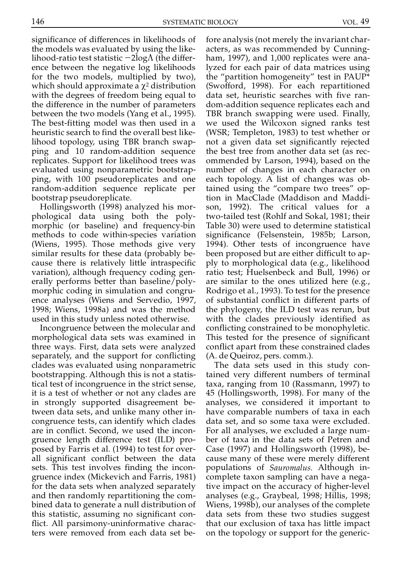significance of differences in likelihoods of the models was evaluated by using the likelihood-ratio test statistic  $-2log\Lambda$  (the difference between the negative log likelihoods for the two models, multiplied by two), which should approximate a  $\chi^2$  distribution with the degrees of freedom being equal to the difference in the number of parameters between the two models (Yang et al., 1995). The best-fitting model was then used in a heuristic search to find the overall best likelihood topology, using TBR branch swapping and 10 random-addition sequence replicates. Support for likelihood trees was evaluated using nonparametric bootstrapping, with 100 pseudoreplicates and one random-addition sequence replicate per bootstrap pseudoreplicate.

Hollingsworth (1998) analyzed his morphological data using both the polymorphic (or baseline) and frequency-bin methods to code within-species variation (Wiens, 1995). Those methods give very similar results for these data (probably because there is relatively little intraspecific variation), although frequency coding generally performs better than baseline/polymorphic coding in simulation and congruence analyses (Wiens and Servedio, 1997, 1998; Wiens, 1998a) and was the method used in this study unless noted otherwise.

Incongruence between the molecular and morphological data sets was examined in three ways. First, data sets were analyzed separately, and the support for conflicting clades was evaluated using nonparametric bootstrapping. Although this is not a statistical test of incongruence in the strict sense, it is a test of whether or not any clades are in strongly supported disagreement between data sets, and unlike many other incongruence tests, can identify which clades are in conflict. Second, we used the incongruence length difference test (ILD) proposed by Farris et al. (1994) to test for overall significant conflict between the data sets. This test involves finding the incongruence index (Mickevich and Farris, 1981) for the data sets when analyzed separately and then randomly repartitioning the combined data to generate a null distribution of this statistic, assuming no significant conflict. All parsimony-uninformative characters were removed from each data set be-

fore analysis (not merely the invariant characters, as was recommended by Cunningham, 1997), and 1,000 replicates were analyzed for each pair of data matrices using the "partition homogeneity" test in PAUP\* (Swofford, 1998). For each repartitioned data set, heuristic searches with five random-addition sequence replicates each and TBR branch swapping were used. Finally, we used the Wilcoxon signed ranks test (WSR; Templeton, 1983) to test whether or not a given data set significantly rejected the best tree from another data set (as recommended by Larson, 1994), based on the number of changes in each character on each topology. A list of changes was obtained using the "compare two trees" option in MacClade (Maddison and Maddison, 1992). The critical values for a two-tailed test (Rohlf and Sokal, 1981; their Table 30) were used to determine statistical significance (Felsenstein, 1985b; Larson, 1994). Other tests of incongruence have been proposed but are either difficult to apply to morphological data (e.g., likelihood ratio test; Huelsenbeck and Bull, 1996) or are similar to the ones utilized here (e.g., Rodrigo et al., 1993). To test for the presence of substantial conflict in different parts of the phylogeny, the ILD test was rerun, but with the clades previously identified as conflicting constrained to be monophyletic. This tested for the presence of significant conflict apart from these constrained clades (A. de Queiroz, pers. comm.).

The data sets used in this study contained very different numbers of terminal taxa, ranging from 10 (Rassmann, 1997) to 45 (Hollingsworth, 1998). For many of the analyses, we considered it important to have comparable numbers of taxa in each data set, and so some taxa were excluded. For all analyses, we excluded a large number of taxa in the data sets of Petren and Case (1997) and Hollingsworth (1998), because many of these were merely different populations of *Sauromalus.* Although incomplete taxon sampling can have a negative impact on the accuracy of higher-level analyses (e.g., Graybeal, 1998; Hillis, 1998; Wiens, 1998b), our analyses of the complete data sets from these two studies suggest that our exclusion of taxa has little impact on the topology or support for the generic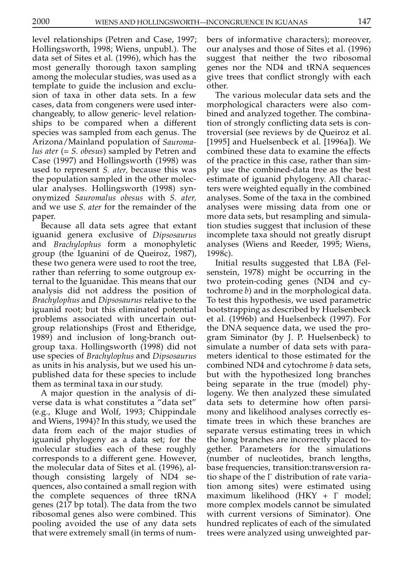level relationships (Petren and Case, 1997; Hollingsworth, 1998; Wiens, unpubl.). The data set of Sites et al. (1996), which has the most generally thorough taxon sampling among the molecular studies, was used as a template to guide the inclusion and exclusion of taxa in other data sets. In a few cases, data from congeners were used interchangeably, to allow generic- level relationships to be compared when a different species was sampled from each genus. The Arizona/Mainland population of *Sauromalus ater* (= *S. obesus*) sampled by Petren and Case (1997) and Hollingsworth (1998) was used to represent *S. ater,* because this was the population sampled in the other molecular analyses. Hollingsworth (1998) synonymized *Sauromalus obesus* with *S. ater,* and we use *S. ater* for the remainder of the paper.

Because all data sets agree that extant iguanid genera exclusive of *Dipsosaurus* and *Brachylophus* form a monophyletic group (the Iguanini of de Queiroz, 1987), these two genera were used to root the tree, rather than referring to some outgroup external to the Iguanidae. This means that our analysis did not address the position of *Brachylophus* and *Dipsosaurus* relative to the iguanid root; but this eliminated potential problems associated with uncertain outgroup relationships (Frost and Etheridge, 1989) and inclusion of long-branch outgroup taxa. Hollingsworth (1998) did not use species of *Brachylophus* and *Dipsosaurus* as units in his analysis, but we used his unpublished data for these species to include them as terminal taxa in our study.

A major question in the analysis of diverse data is what constitutes a "data set" (e.g., Kluge and Wolf, 1993; Chippindale and Wiens, 1994)? In this study, we used the data from each of the major studies of iguanid phylogeny as a data set; for the molecular studies each of these roughly corresponds to a different gene. However, the molecular data of Sites et al. (1996), although consisting largely of ND4 sequences, also contained a small region with the complete sequences of three tRNA genes (217 bp total). The data from the two ribosomal genes also were combined. This pooling avoided the use of any data sets that were extremely small (in terms of numbers of informative characters); moreover, our analyses and those of Sites et al. (1996) suggest that neither the two ribosomal genes nor the ND4 and tRNA sequences give trees that conflict strongly with each other.

The various molecular data sets and the morphological characters were also combined and analyzed together. The combination of strongly conflicting data sets is controversial (see reviews by de Queiroz et al. [1995] and Huelsenbeck et al. [1996a]). We combined these data to examine the effects of the practice in this case, rather than simply use the combined-data tree as the best estimate of iguanid phylogeny. All characters were weighted equally in the combined analyses. Some of the taxa in the combined analyses were missing data from one or more data sets, but resampling and simulation studies suggest that inclusion of these incomplete taxa should not greatly disrupt analyses (Wiens and Reeder, 1995; Wiens, 1998c).

Initial results suggested that LBA (Felsenstein, 1978) might be occurring in the two protein-coding genes (ND4 and cytochrome *b*) and in the morphological data. To test this hypothesis, we used parametric bootstrapping as described by Huelsenbeck et al. (1996b) and Huelsenbeck (1997). For the DNA sequence data, we used the program Siminator (by J. P. Huelsenbeck) to simulate a number of data sets with parameters identical to those estimated for the combined ND4 and cytochrome *b* data sets, but with the hypothesized long branches being separate in the true (model) phylogeny. We then analyzed these simulated data sets to determine how often parsimony and likelihood analyses correctly estimate trees in which these branches are separate versus estimating trees in which the long branches are incorrectly placed together. Parameters for the simulations (number of nucleotides, branch lengths, base frequencies, transition:transversion ratio shape of the  $\Gamma$  distribution of rate variation among sites) were estimated using maximum likelihood (HKY +  $\Gamma$  model; more complex models cannot be simulated with current versions of Siminator). One hundred replicates of each of the simulated trees were analyzed using unweighted par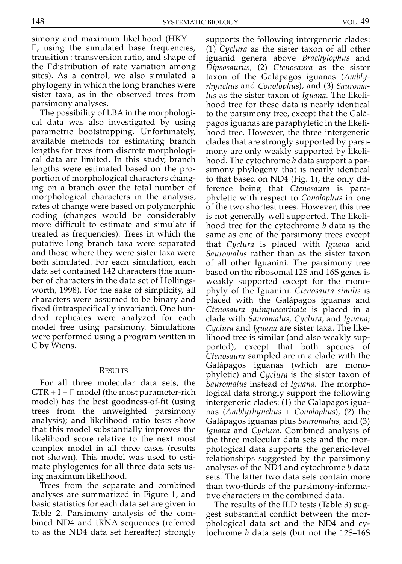simony and maximum likelihood (HKY +  $\Gamma$ ; using the simulated base frequencies, transition : transversion ratio, and shape of the Gdistribution of rate variation among sites). As a control, we also simulated a phylogeny in which the long branches were sister taxa, as in the observed trees from parsimony analyses.

The possibility of LBA in the morphological data was also investigated by using parametric bootstrapping. Unfortunately, available methods for estimating branch lengths for trees from discrete morphological data are limited. In this study, branch lengths were estimated based on the proportion of morphological characters changing on a branch over the total number of morphological characters in the analysis; rates of change were based on polymorphic coding (changes would be considerably more difficult to estimate and simulate if treated as frequencies). Trees in which the putative long branch taxa were separated and those where they were sister taxa were both simulated. For each simulation, each data set contained 142 characters (the number of characters in the data set of Hollingsworth, 1998). For the sake of simplicity, all characters were assumed to be binary and fixed (intraspecifically invariant). One hundred replicates were analyzed for each model tree using parsimony. Simulations were performed using a program written in C by Wiens.

## **RESULTS**

For all three molecular data sets, the  $GTR + I + \Gamma$  model (the most parameter-rich model) has the best goodness-of-fit (using trees from the unweighted parsimony analysis); and likelihood ratio tests show that this model substantially improves the likelihood score relative to the next most complex model in all three cases (results not shown). This model was used to estimate phylogenies for all three data sets using maximum likelihood.

Trees from the separate and combined analyses are summarized in Figure 1, and basic statistics for each data set are given in Table 2. Parsimony analysis of the combined ND4 and tRNA sequences (referred to as the ND4 data set hereafter) strongly

supports the following intergeneric clades: (1) *Cyclura* as the sister taxon of all other iguanid genera above *Brachylophus* and *Dipsosaurus,* (2) *Ctenosaura* as the sister taxon of the Galápagos iguanas (*Amblyrhynchus* and *Conolophus*), and (3) *Sauromalus* as the sister taxon of *Iguana.* The likelihood tree for these data is nearly identical to the parsimony tree, except that the Galá pagos iguanas are paraphyletic in the likelihood tree. However, the three intergeneric clades that are strongly supported by parsimony are only weakly supported by likelihood. The cytochrome *b* data support a parsimony phylogeny that is nearly identical to that based on ND4 (Fig. 1), the only difference being that *Ctenosaura* is paraphyletic with respect to *Conolophus* in one of the two shortest trees. However, this tree is not generally well supported. The likelihood tree for the cytochrome *b* data is the same as one of the parsimony trees except that *Cyclura* is placed with *Iguana* and *Sauromalus* rather than as the sister taxon of all other Iguanini. The parsimony tree based on the ribosomal 12S and 16S genes is weakly supported except for the monophyly of the Iguanini. *Ctenosaura similis* is placed with the Galápagos iguanas and *Ctenosaura quinquecarinata* is placed in a clade with *Sauromalus, Cyclura,* and *Iguana; Cyclura* and *Iguana* are sister taxa. The likelihood tree is similar (and also weakly supported), except that both species of *Ctenosaura* sampled are in a clade with the Galápagos iguanas (which are monophyletic) and *Cyclura* is the sister taxon of *Sauromalus* instead of *Iguana.* The morphological data strongly support the following intergeneric clades: (1) the Galapagos iguanas (*Amblyrhynchus* + *Conolophus*), (2) the Galápagos iguanas plus *Sauromalus,* and (3) *Iguana* and *Cyclura.* Combined analysis of the three molecular data sets and the morphological data supports the generic-level relationships suggested by the parsimony analyses of the ND4 and cytochrome *b* data sets. The latter two data sets contain more than two-thirds of the parsimony-informative characters in the combined data.

The results of the ILD tests (Table 3) suggest substantial conflict between the morphological data set and the ND4 and cytochrome *b* data sets (but not the 12S–16S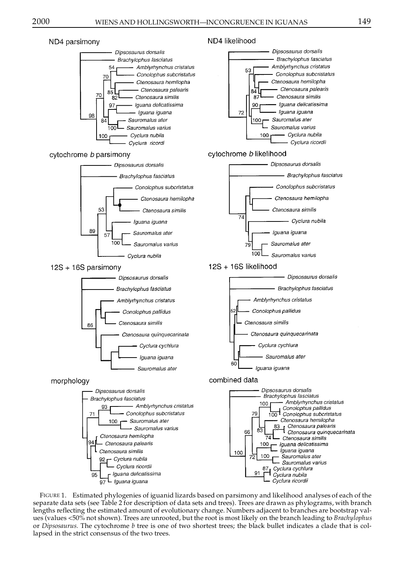

FIGURE 1. Estimated phylogenies of iguanid lizards based on parsimony and likelihood analyses of each of the separate data sets (see Table 2 for description of data sets and trees). Trees are drawn as phylograms, with branch lengths reflecting the estimated amount of evolutionary change. Numbers adjacent to branches are bootstrap val ues (values <50% not shown). Trees are unrooted, but the root is most likely on the branch leading to *Brachylophus* or *Dipsosaurus.* The cytochrome *b* tree is one of two shortest trees; the black bullet indicates a clade that is collapsed in the strict consensus of the two trees.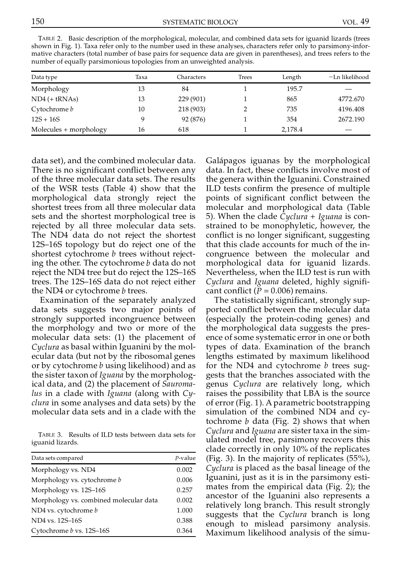|                        | .    | . .        |       |         |                |
|------------------------|------|------------|-------|---------|----------------|
| Data type              | Taxa | Characters | Trees | Length  | -Ln likelihood |
| Morphology             | 13   | 84         |       | 195.7   |                |
| $ND4 (+ tRNAs)$        | 13   | 229 (901)  |       | 865     | 4772.670       |
| Cytochrome b           | 10   | 218 (903)  |       | 735     | 4196.408       |
| $12S + 16S$            | Q    | 92 (876)   |       | 354     | 2672.190       |
| Molecules + morphology | 16   | 618        |       | 2,178.4 |                |

TABLE 2. Basic description of the morphological, molecular, and combined data sets for iguanid lizards (trees shown in Fig. 1). Taxa refer only to the number used in these analyses, characters refer only to parsimony-informative characters (total number of base pairs for sequence data are given in parentheses), and trees refers to the number of equally parsimonious topologies from an unweighted analysis.

data set), and the combined molecular data. There is no significant conflict between any of the three molecular data sets. The results of the WSR tests (Table 4) show that the morphological data strongly reject the shortest trees from all three molecular data sets and the shortest morphological tree is rejected by all three molecular data sets. The ND4 data do not reject the shortest 12S–16S topology but do reject one of the shortest cytochrome *b* trees without rejecting the other. The cytochrome *b* data do not reject the ND4 tree but do reject the 12S–16S trees. The 12S–16S data do not reject either the ND4 or cytochrome *b* trees.

Examination of the separately analyzed data sets suggests two major points of strongly supported incongruence between the morphology and two or more of the molecular data sets: (1) the placement of *Cyclura* as basal within Iguanini by the molecular data (but not by the ribosomal genes or by cytochrome *b* using likelihood) and as the sister taxon of *Iguana* by the morphological data, and (2) the placement of *Sauromalus* in a clade with *Iguana* (along with *Cyclura* in some analyses and data sets) by the molecular data sets and in a clade with the

TABLE 3. Results of ILD tests between data sets for iguanid lizards.

| Data sets compared                     | $P$ -value |
|----------------------------------------|------------|
| Morphology vs. ND4                     | 0.002      |
| Morphology vs. cytochrome b            | 0.006      |
| Morphology vs. 12S-16S                 | 0.257      |
| Morphology vs. combined molecular data | 0.002      |
| ND4 vs. cytochrome b                   | 1.000      |
| ND4 vs. 12S-16S                        | 0.388      |
| Cytochrome b vs. 12S-16S               | 0.364      |

Galápagos iguanas by the morphological data. In fact, these conflicts involve most of the genera within the Iguanini. Constrained ILD tests confirm the presence of multiple points of significant conflict between the molecular and morphological data (Table 5). When the clade *Cyclura* + *Iguana* is constrained to be monophyletic, however, the conflict is no longer significant, suggesting that this clade accounts for much of the incongruence between the molecular and morphological data for iguanid lizards. Nevertheless, when the ILD test is run with *Cyclura* and *Iguana* deleted, highly significant conflict  $(P = 0.006)$  remains.

The statistically significant, strongly supported conflict between the molecular data (especially the protein-coding genes) and the morphological data suggests the presence of some systematic error in one or both types of data. Examination of the branch lengths estimated by maximum likelihood for the ND4 and cytochrome *b* trees suggests that the branches associated with the genus *Cyclura* are relatively long, which raises the possibility that LBA is the source of error (Fig. 1). A parametric bootstrapping simulation of the combined ND4 and cytochrome *b* data (Fig. 2) shows that when *Cyclura* and *Iguana* are sister taxa in the simulated model tree, parsimony recovers this clade correctly in only 10% of the replicates (Fig. 3). In the majority of replicates (55%), *Cyclura* is placed as the basal lineage of the Iguanini, just as it is in the parsimony estimates from the empirical data (Fig. 2); the ancestor of the Iguanini also represents a relatively long branch. This result strongly suggests that the *Cyclura* branch is long enough to mislead parsimony analysis. Maximum likelihood analysis of the simu-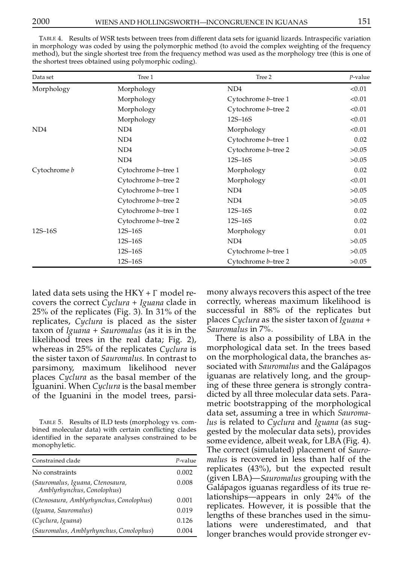TABLE 4. Results of WSR tests between trees from different data sets for iguanid lizards. Intraspecific variation in morphology was coded by using the polymorphic method (to avoid the complex weighting of the frequency method), but the single shortest tree from the frequency method was used as the morphology tree (this is one of the shortest trees obtained using polymorphic coding).

| Data set        | Tree 1              | Tree 2              | $P$ -value |
|-----------------|---------------------|---------------------|------------|
| Morphology      | Morphology          | ND <sub>4</sub>     | < 0.01     |
|                 | Morphology          | Cytochrome b-tree 1 | < 0.01     |
|                 | Morphology          | Cytochrome b-tree 2 | < 0.01     |
|                 | Morphology          | 12S-16S             | < 0.01     |
| ND <sub>4</sub> | ND4                 | Morphology          | < 0.01     |
|                 | ND <sub>4</sub>     | Cytochrome b-tree 1 | 0.02       |
|                 | ND <sub>4</sub>     | Cytochrome b-tree 2 | >0.05      |
|                 | ND4                 | 12S-16S             | >0.05      |
| Cytochrome b    | Cytochrome b-tree 1 | Morphology          | 0.02       |
|                 | Cytochrome b-tree 2 | Morphology          | < 0.01     |
|                 | Cytochrome b-tree 1 | ND <sub>4</sub>     | >0.05      |
|                 | Cytochrome b-tree 2 | ND <sub>4</sub>     | >0.05      |
|                 | Cytochrome b-tree 1 | 12S-16S             | 0.02       |
|                 | Cytochrome b-tree 2 | 12S-16S             | 0.02       |
| 12S-16S         | 12S-16S             | Morphology          | 0.01       |
|                 | 12S-16S             | ND <sub>4</sub>     | >0.05      |
|                 | 12S-16S             | Cytochrome b-tree 1 | >0.05      |
|                 | 12S-16S             | Cytochrome b-tree 2 | >0.05      |

lated data sets using the  $HKY + \Gamma$  model recovers the correct *Cyclura* + *Iguana* clade in 25% of the replicates (Fig. 3). In 31% of the replicates, *Cyclura* is placed as the sister taxon of *Iguana* + *Sauromalus* (as it is in the likelihood trees in the real data; Fig. 2), whereas in 25% of the replicates *Cyclura* is the sister taxon of *Sauromalus.* In contrast to parsimony, maximum likelihood never places *Cyclura* as the basal member of the Iguanini. When *Cyclura* is the basal member of the Iguanini in the model trees, parsi-

TABLE 5. Results of ILD tests (morphology vs. com bined molecular data) with certain conflicting clades identified in the separate analyses constrained to be monophyletic.

| Constrained clade                                              | P-value |
|----------------------------------------------------------------|---------|
| No constraints                                                 | 0.002   |
| (Sauromalus, Iguana, Ctenosaura,<br>Amblyrhynchus, Conolophus) | 0.008   |
| (Ctenosaura, Amblyrhynchus, Conolophus)                        | 0.001   |
| (Iguana, Sauromalus)                                           | 0.019   |
| (Cyclura, Iguana)                                              | 0.126   |
| (Sauromalus, Amblyrhynchus, Conolophus)                        | 0.004   |

mony always recovers this aspect of the tree correctly, whereas maximum likelihood is successful in 88% of the replicates but places *Cyclura* as the sister taxon of *Iguana* + *Sauromalus* in 7%.

There is also a possibility of LBA in the morphological data set. In the trees based on the morphological data, the branches associated with *Sauromalus* and the Galápagos iguanas are relatively long, and the grouping of these three genera is strongly contradicted by all three molecular data sets. Parametric bootstrapping of the morphological data set, assuming a tree in which *Sauromalus* is related to *Cyclura* and *Iguana* (as suggested by the molecular data sets), provides some evidence, albeit weak, for LBA (Fig. 4). The correct (simulated) placement of *Sauromalus* is recovered in less than half of the replicates (43%), but the expected result (given LBA)—*Sauromalus* grouping with the Galápagos iguanas regardless of its true relationships—appears in only 24% of the replicates. However, it is possible that the lengths of these branches used in the simulations were underestimated, and that longer branches would provide stronger ev-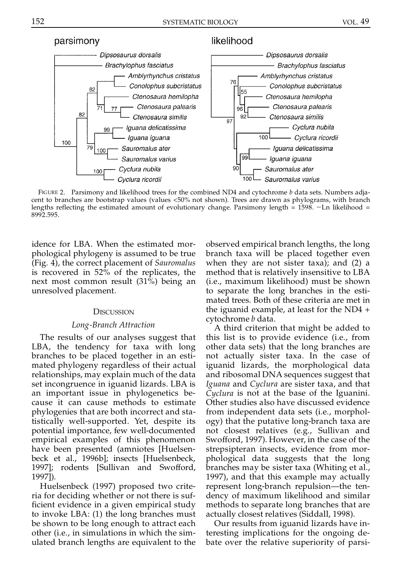

FIGURE 2. Parsimony and likelihood trees for the combined ND4 and cytochrome *b* data sets. Numbers adjacent to branches are bootstrap values (values <50% not shown). Trees are drawn as phylograms, with branch lengths reflecting the estimated amount of evolutionary change. Parsimony length =  $1598$ . -Ln likelihood = 8992.595.

idence for LBA. When the estimated morphological phylogeny is assumed to be true (Fig. 4), the correct placement of *Sauromalus* is recovered in 52% of the replicates, the next most common result (31%) being an unresolved placement.

### **DISCUSSION**

#### *Long-Branch Attraction*

The results of our analyses suggest that LBA, the tendency for taxa with long branches to be placed together in an estimated phylogeny regardless of their actual relationships, may explain much of the data set incongruence in iguanid lizards. LBA is an important issue in phylogenetics because it can cause methods to estimate phylogenies that are both incorrect and statistically well-supported. Yet, despite its potential importance, few well-documented empirical examples of this phenomenon have been presented (amniotes [Huelsenbeck et al., 1996b]; insects [Huelsenbeck, 1997]; rodents [Sullivan and Swofford, 1997]).

Huelsenbeck (1997) proposed two criteria for deciding whether or not there is sufficient evidence in a given empirical study to invoke LBA: (1) the long branches must be shown to be long enough to attract each other (i.e., in simulations in which the simulated branch lengths are equivalent to the

observed empirical branch lengths, the long branch taxa will be placed together even when they are not sister taxa); and (2) a method that is relatively insensitive to LBA (i.e., maximum likelihood) must be shown to separate the long branches in the estimated trees. Both of these criteria are met in the iguanid example, at least for the ND4 + cytochrome *b* data.

A third criterion that might be added to this list is to provide evidence (i.e., from other data sets) that the long branches are not actually sister taxa. In the case of iguanid lizards, the morphological data and ribosomal DNA sequences suggest that *Iguana* and *Cyclura* are sister taxa, and that *Cyclura* is not at the base of the Iguanini. Other studies also have discussed evidence from independent data sets (i.e., morphology) that the putative long-branch taxa are not closest relatives (e.g., Sullivan and Swofford, 1997). However, in the case of the strepsipteran insects, evidence from morphological data suggests that the long branches may be sister taxa (Whiting et al., 1997), and that this example may actually represent long-branch repulsion—the tendency of maximum likelihood and similar methods to separate long branches that are actually closest relatives (Siddall, 1998).

Our results from iguanid lizards have interesting implications for the ongoing debate over the relative superiority of parsi-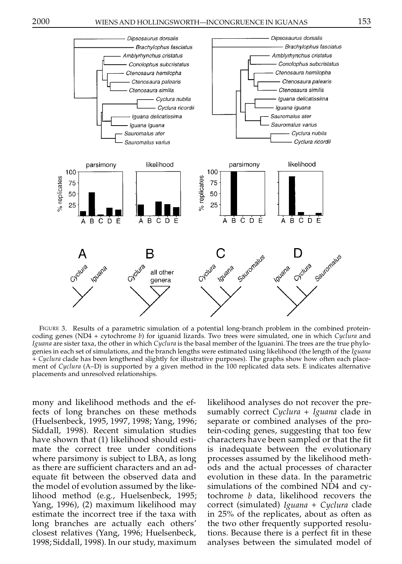

FIGURE 3. Results of a parametric simulation of a potential long-branch problem in the combined proteincoding genes (ND4 + cytochrome *b*) for iguanid lizards. Two trees were simulated, one in which *Cyclura* and *Iguana* are sister taxa, the other in which *Cyclura* is the basal member of the Iguanini. The trees are the true phylogenies in each set of simulations, and the branch lengths were estimated using likelihood (the length of the *Iguana* + *Cyclura* clade has been lengthened slightly for illustrative purposes). The graphs show how often each placement of *Cyclura* (A–D) is supported by a given method in the 100 replicated data sets. E indicates alternative placements and unresolved relationships.

mony and likelihood methods and the effects of long branches on these methods (Huelsenbeck, 1995, 1997, 1998; Yang, 1996; Siddall, 1998). Recent simulation studies have shown that (1) likelihood should estimate the correct tree under conditions where parsimony is subject to LBA, as long as there are sufficient characters and an adequate fit between the observed data and the model of evolution assumed by the likelihood method (e.g., Huelsenbeck, 1995; Yang, 1996), (2) maximum likelihood may estimate the incorrect tree if the taxa with long branches are actually each others' closest relatives (Yang, 1996; Huelsenbeck, 1998; Siddall, 1998). In our study, maximum

likelihood analyses do not recover the presumably correct *Cyclura* + *Iguana* clade in separate or combined analyses of the protein-coding genes, suggesting that too few characters have been sampled or that the fit is inadequate between the evolutionary processes assumed by the likelihood methods and the actual processes of character evolution in these data. In the parametric simulations of the combined ND4 and cytochrome *b* data, likelihood recovers the correct (simulated) *Iguana* + *Cyclura* clade in 25% of the replicates, about as often as the two other frequently supported resolutions. Because there is a perfect fit in these analyses between the simulated model of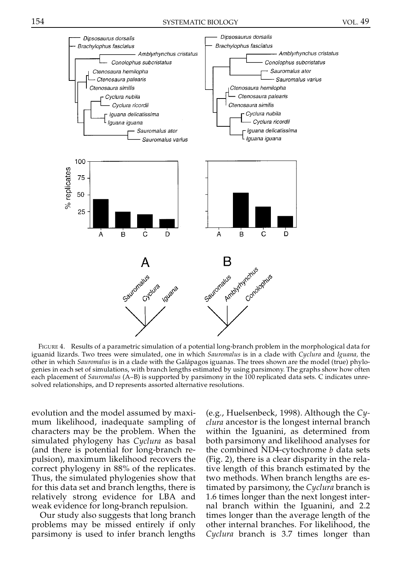

FIGURE 4. Results of a parametric simulation of a potential long-branch problem in the morphological data for iguanid lizards. Two trees were simulated, one in which *Sauromalus* is in a clade with *Cyclura* and *Iguana,* the other in which *Sauromalus* is in a clade with the Galápagos iguanas. The trees shown are the model (true) phylogenies in each set of simulations, with branch lengths estimated by using parsimony. The graphs show how often each placement of *Sauromalus* (A–B) is supported by parsimony in the 100 replicated data sets. C indicates unre solved relationships, and D represents assorted alternative resolutions.

evolution and the model assumed by maximum likelihood, inadequate sampling of characters may be the problem. When the simulated phylogeny has *Cyclura* as basal (and there is potential for long-branch repulsion), maximum likelihood recovers the correct phylogeny in 88% of the replicates. Thus, the simulated phylogenies show that for this data set and branch lengths, there is relatively strong evidence for LBA and weak evidence for long-branch repulsion.

Our study also suggests that long branch problems may be missed entirely if only parsimony is used to infer branch lengths

(e.g., Huelsenbeck, 1998). Although the *Cyclura* ancestor is the longest internal branch within the Iguanini, as determined from both parsimony and likelihood analyses for the combined ND4-cytochrome *b* data sets (Fig. 2), there is a clear disparity in the relative length of this branch estimated by the two methods. When branch lengths are estimated by parsimony, the *Cyclura* branch is 1.6 times longer than the next longest internal branch within the Iguanini, and 2.2 times longer than the average length of the other internal branches. For likelihood, the *Cyclura* branch is 3.7 times longer than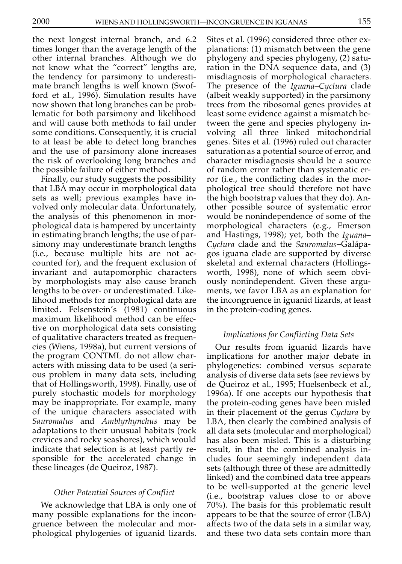the next longest internal branch, and 6.2 times longer than the average length of the other internal branches. Although we do not know what the "correct" lengths are, the tendency for parsimony to underestimate branch lengths is well known (Swofford et al., 1996). Simulation results have now shown that long branches can be problematic for both parsimony and likelihood and will cause both methods to fail under some conditions. Consequently, it is crucial to at least be able to detect long branches and the use of parsimony alone increases the risk of overlooking long branches and the possible failure of either method.

Finally, our study suggests the possibility that LBA may occur in morphological data sets as well; previous examples have involved only molecular data. Unfortunately, the analysis of this phenomenon in morphological data is hampered by uncertainty in estimating branch lengths; the use of parsimony may underestimate branch lengths (i.e., because multiple hits are not accounted for), and the frequent exclusion of invariant and autapomorphic characters by morphologists may also cause branch lengths to be over- or underestimated. Likelihood methods for morphological data are limited. Felsenstein's (1981) continuous maximum likelihood method can be effective on morphological data sets consisting of qualitative characters treated as frequencies (Wiens, 1998a), but current versions of the program CONTML do not allow characters with missing data to be used (a serious problem in many data sets, including that of Hollingsworth, 1998). Finally, use of purely stochastic models for morphology may be inappropriate. For example, many of the unique characters associated with *Sauromalus* and *Amblyrhynchus* may be adaptations to their unusual habitats (rock crevices and rocky seashores), which would indicate that selection is at least partly responsible for the accelerated change in these lineages (de Queiroz, 1987).

## *Other Potential Sources of Conflict*

We acknowledge that LBA is only one of many possible explanations for the incongruence between the molecular and morphological phylogenies of iguanid lizards. Sites et al. (1996) considered three other explanations: (1) mismatch between the gene phylogeny and species phylogeny, (2) saturation in the DNA sequence data, and (3) misdiagnosis of morphological characters. The presence of the *Iguana–Cyclura* clade (albeit weakly supported) in the parsimony trees from the ribosomal genes provides at least some evidence against a mismatch between the gene and species phylogeny involving all three linked mitochondrial genes. Sites et al. (1996) ruled out character saturation as a potential source of error, and character misdiagnosis should be a source of random error rather than systematic error (i.e., the conflicting clades in the morphological tree should therefore not have the high bootstrap values that they do). Another possible source of systematic error would be nonindependence of some of the morphological characters (e.g., Emerson and Hastings, 1998); yet, both the *Iguana– Cyclura* clade and the *Sauromalus*–Galápagos iguana clade are supported by diverse skeletal and external characters (Hollingsworth, 1998), none of which seem obviously nonindependent. Given these arguments, we favor LBA as an explanation for the incongruence in iguanid lizards, at least in the protein-coding genes.

## *Implications for Conflicting Data Sets*

Our results from iguanid lizards have implications for another major debate in phylogenetics: combined versus separate analysis of diverse data sets (see reviews by de Queiroz et al., 1995; Huelsenbeck et al., 1996a). If one accepts our hypothesis that the protein-coding genes have been misled in their placement of the genus *Cyclura* by LBA, then clearly the combined analysis of all data sets (molecular and morphological) has also been misled. This is a disturbing result, in that the combined analysis includes four seemingly independent data sets (although three of these are admittedly linked) and the combined data tree appears to be well-supported at the generic level (i.e., bootstrap values close to or above 70%). The basis for this problematic result appears to be that the source of error (LBA) affects two of the data sets in a similar way, and these two data sets contain more than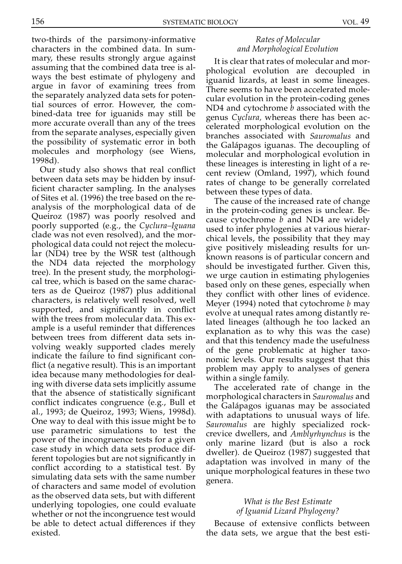two-thirds of the parsimony-informative characters in the combined data. In summary, these results strongly argue against assuming that the combined data tree is always the best estimate of phylogeny and argue in favor of examining trees from the separately analyzed data sets for potential sources of error. However, the combined-data tree for iguanids may still be more accurate overall than any of the trees from the separate analyses, especially given the possibility of systematic error in both molecules and morphology (see Wiens,

1998d). Our study also shows that real conflict between data sets may be hidden by insufficient character sampling. In the analyses of Sites et al. (1996) the tree based on the reanalysis of the morphological data of de Queiroz (1987) was poorly resolved and poorly supported (e.g., the *Cyclura–Iguana* clade was not even resolved), and the morphological data could not reject the molecular (ND4) tree by the WSR test (although the ND4 data rejected the morphology tree). In the present study, the morphological tree, which is based on the same characters as de Queiroz (1987) plus additional characters, is relatively well resolved, well supported, and significantly in conflict with the trees from molecular data. This example is a useful reminder that differences between trees from different data sets involving weakly supported clades merely indicate the failure to find significant conflict (a negative result). This is an important idea because many methodologies for dealing with diverse data sets implicitly assume that the absence of statistically significant conflict indicates congruence (e.g., Bull et al., 1993; de Queiroz, 1993; Wiens, 1998d). One way to deal with this issue might be to use parametric simulations to test the power of the incongruence tests for a given case study in which data sets produce different topologies but are not significantly in conflict according to a statistical test. By simulating data sets with the same number of characters and same model of evolution as the observed data sets, but with different underlying topologies, one could evaluate whether or not the incongruence test would be able to detect actual differences if they existed.

## *Rates of Molecular and Morphological Evolution*

It is clear that rates of molecular and morphological evolution are decoupled in iguanid lizards, at least in some lineages. There seems to have been accelerated molecular evolution in the protein-coding genes ND4 and cytochrome *b* associated with the genus *Cyclura,* whereas there has been accelerated morphological evolution on the branches associated with *Sauromalus* and the Galápagos iguanas. The decoupling of molecular and morphological evolution in these lineages is interesting in light of a recent review (Omland, 1997), which found rates of change to be generally correlated between these types of data.

The cause of the increased rate of change in the protein-coding genes is unclear. Because cytochrome *b* and ND4 are widely used to infer phylogenies at various hierarchical levels, the possibility that they may give positively misleading results for unknown reasons is of particular concern and should be investigated further. Given this, we urge caution in estimating phylogenies based only on these genes, especially when they conflict with other lines of evidence. Meyer (1994) noted that cytochrome *b* may evolve at unequal rates among distantly related lineages (although he too lacked an explanation as to why this was the case) and that this tendency made the usefulness of the gene problematic at higher taxonomic levels. Our results suggest that this problem may apply to analyses of genera within a single family.

The accelerated rate of change in the morphological characters in *Sauromalus* and the Galápagos iguanas may be associated with adaptations to unusual ways of life. *Sauromalus* are highly specialized rockcrevice dwellers, and *Amblyrhynchus* is the only marine lizard (but is also a rock dweller). de Queiroz (1987) suggested that adaptation was involved in many of the unique morphological features in these two genera.

## *What is the Best Estimate of Iguanid Lizard Phylogeny?*

Because of extensive conflicts between the data sets, we argue that the best esti-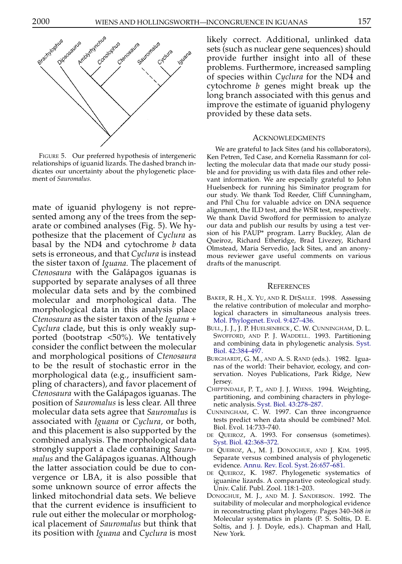

FIGURE 5. Our preferred hypothesis of intergeneric relationships of iguanid lizards. The dashed branch indicates our uncertainty about the phylogenetic placement of *Sauromalus.*

mate of iguanid phylogeny is not represented among any of the trees from the separate or combined analyses (Fig. 5). We hypothesize that the placement of *Cyclura* as basal by the ND4 and cytochrome *b* data sets is erroneous, and that *Cyclura* is instead the sister taxon of *Iguana.* The placement of *Ctenosaura* with the Galápagos iguanas is supported by separate analyses of all three molecular data sets and by the combined molecular and morphological data. The morphological data in this analysis place *Ctenosaura* as the sister taxon of the *Iguana* + *Cyclura* clade, but this is only weakly supported (bootstrap <50%). We tentatively consider the conflict between the molecular and morphological positions of *Ctenosaura* to be the result of stochastic error in the morphological data (e.g., insufficient sampling of characters), and favor placement of *Ctenosaura* with the Galápagos iguanas. The position of *Sauromalus* is less clear. All three molecular data sets agree that *Sauromalus* is associated with *Iguana* or *Cyclura,* or both, and this placement is also supported by the combined analysis. The morphological data strongly support a clade containing *Sauromalus* and the Galápagos iguanas. Although the latter association could be due to convergence or LBA, it is also possible that some unknown source of error affects the linked mitochondrial data sets. We believe that the current evidence is insufficient to rule out either the molecular or morphological placement of *Sauromalus* but think that its position with *Iguana* and *Cyclura* is most likely correct. Additional, unlinked data sets (such as nuclear gene sequences) should provide further insight into all of these problems. Furthermore, increased sampling of species within *Cyclura* for the ND4 and cytochrome *b* genes might break up the long branch associated with this genus and improve the estimate of iguanid phylogeny provided by these data sets.

#### **ACKNOWLEDGMENTS**

We are grateful to Jack Sites (and his collaborators), Ken Petren, Ted Case, and Kornelia Rassmann for collecting the molecular data that made our study possible and for providing us with data files and other relevant information. We are especially grateful to John Huelsenbeck for running his Siminator program for our study. We thank Tod Reeder, Cliff Cunningham, and Phil Chu for valuable advice on DNA sequence alignment, the ILD test, and the WSR test, respectively. We thank David Swofford for permission to analyze our data and publish our results by using a test ver sion of his PAUP\* program. Larry Buckley, Alan de Queiroz, Richard Etheridge, Brad Livezey, Richard Olmstead, Maria Servedio, Jack Sites, and an anony mous reviewer gave useful comments on various drafts of the manuscript.

#### **REFERENCES**

- BAKER, R. H., X. YU, AND R. DESALLE. 1998. Assessing the relative contribution of molecular and morphological characters in simultaneous analysis trees. [Mol. Phylogenet. Evol. 9:427–436.](http://www.ingentaconnect.com/content/external-references?article=/1055-7903^28^299L.427[aid=762044,csa=1055-7903^26vol=9^26iss=3^26firstpage=427,nlm=9667991])
- BULL, J. J., J. P. HUELSENBECK, C. W. CUNNINGHAM, D. L. SWOFFORD, AND P. J. WADDELL. 1993. Partitioning and combining data in phylogenetic analysis. [Syst.](http://www.ingentaconnect.com/content/external-references?article=/1063-5157^28^2942L.384[aid=523819]) [Biol. 42:384–497.](http://www.ingentaconnect.com/content/external-references?article=/1063-5157^28^2942L.384[aid=523819])
- BURGHARDT, G. M., AND A. S. RAND (eds.). 1982. Igua nas of the world: Their behavior, ecology, and con servation. Noyes Publications, Park Ridge, New Jersey.
- CHIPPINDALE, P. T., AND J. J. WIENS. 1994. Weighting, partitioning, and combining characters in phylogenetic analysis. [Syst. Biol. 43:278–287.](http://www.ingentaconnect.com/content/external-references?article=/1063-5157^28^2943L.278[aid=760270])
- CUNNINGHAM, C. W. 1997. Can three incongruence tests predict when data should be combined? Mol. Biol. Evol. 14:733–740.
- DE QUEIROZ, A. 1993. For consensus (sometimes). [Syst. Biol. 42:368–372.](http://www.ingentaconnect.com/content/external-references?article=/1063-5157^28^2942L.368[aid=760373])
- DE QUEIROZ, A., M. J. DONOGHUE, AND J. KIM. 1995. Separate versus combined analysis of phylogenetic evidence. [Annu. Rev. Ecol. Syst. 26:657–681.](http://www.ingentaconnect.com/content/external-references?article=/0066-4162^28^2926L.657[aid=28438])
- DE QUEIROZ, K. 1987. Phylogenetic systematics of iguanine lizards. A comparative osteological study. Univ. Calif. Publ. Zool. 118:1–203.
- DONOGHUE, M. J., AND M. J. SANDERSON. 1992. The suitability of molecular and morphological evidence in reconstructing plant phylogeny. Pages 340–368 *in* Molecular systematics in plants (P. S. Soltis, D. E. Soltis, and J. J. Doyle, eds.). Chapman and Hall, New York.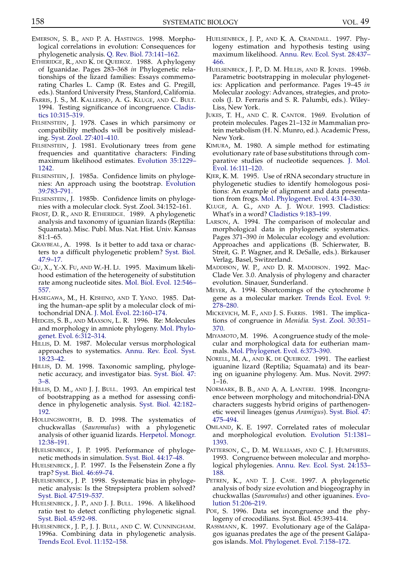- EMERSON, S. B., AND P. A. HASTINGS. 1998. Morphological correlations in evolution: Consequences for phylogenetic analysis. [Q. Rev. Biol. 73:141–162.](http://www.ingentaconnect.com/content/external-references?article=/0033-5770^28^2973L.141[aid=760983])
- ETHERIDGE, R., AND K. DE QUEIROZ. 1988. A phylogeny of Iguanidae. Pages 283–368 *in* Phylogenetic relationships of the lizard families: Essays commemo rating Charles L. Camp (R. Estes and G. Pregill, eds.). Stanford University Press, Stanford, California.
- FARRIS, J. S., M. KALLERSJO, A. G. KLUGE, AND C. BULT. 1994. Testing significance of incongruence. [Cladis](http://www.ingentaconnect.com/content/external-references?article=/0748-3007^28^2910L.315[aid=523824])[tics 10:315–319.](http://www.ingentaconnect.com/content/external-references?article=/0748-3007^28^2910L.315[aid=523824])
- FELSENSTEIN, J. 1978. Cases in which parsimony or compatibility methods will be positively misleading. [Syst. Zool. 27:401–410.](http://www.ingentaconnect.com/content/external-references?article=/0039-7989^28^2927L.401[aid=35674])
- FELSENSTEIN, J. 1981. Evolutionary trees from gene frequencies and quantitative characters: Finding maximum likelihood estimates. [Evolution 35:1229–](http://www.ingentaconnect.com/content/external-references?article=/0014-3820^28^2935L.1229[aid=193304]) [1242.](http://www.ingentaconnect.com/content/external-references?article=/0737-4038^28^2912L.546[aid=760092,nlm=7659011])
- FELSENSTEIN, J. 1985a. Confidence limits on phylogenies: An approach using the bootstrap. [Evolution](http://www.ingentaconnect.com/content/external-references?article=/0014-3820^28^2939L.783[aid=28361]) [39:783–791.](http://www.ingentaconnect.com/content/external-references?article=/0014-3820^28^2939L.783[aid=28361])
- FELSENSTEIN, J. 1985b. Confidence limits on phylogenies with a molecular clock. Syst. Zool. 34:152–161.
- FROST, D. R., AND R. ETHERIDGE. 1989. A phylogenetic analysis and taxonomy of iguanian lizards (Reptilia: Squamata). Misc. Publ. Mus. Nat. Hist. Univ. Kansas 81:1–65.
- GRAYBEAL, A. 1998. Is it better to add taxa or characters to a difficult phylogenetic problem? [Syst. Biol.](http://www.ingentaconnect.com/content/external-references?article=/1063-5157^28^2947L.9[aid=527197,cw=1]) [47:9–17.](http://www.ingentaconnect.com/content/external-references?article=/1063-5157^28^2947L.9[aid=527197,cw=1])
- GU, X., Y.-X. FU, AND W.-H. LI. 1995. Maximum likelihood estimation of the heterogeneity of substitution rate among nucleotide sites. [Mol. Biol. Evol. 12:546–](http://www.ingentaconnect.com/content/external-references?article=/0737-4038^28^2912L.546[aid=760092,nlm=7659011]) [557.](http://www.ingentaconnect.com/content/external-references?article=/0737-4038^28^2912L.546[aid=760092,nlm=7659011])
- HASEGAWA, M., H. KISHINO, AND T. YANO. 1985. Dating the human–ape split by a molecular clock of mitochondrial DNA. [J. Mol. Evol. 22:160–174.](http://www.ingentaconnect.com/content/external-references?article=/0022-2844^28^2922L.160[aid=192889,nlm=3934395])
- HEDGES, S. B., AND MAXSON, L. R. 1996. Re: Molecules and morphology in amniote phylogeny[. Mol. Phylo](http://www.ingentaconnect.com/content/external-references?article=/1055-7903^28^296L.312[aid=762046,csa=1055-7903^26vol=6^26iss=2^26firstpage=312,nlm=8899731])[genet. Evol. 6:312–314.](http://www.ingentaconnect.com/content/external-references?article=/1055-7903^28^296L.312[aid=762046,csa=1055-7903^26vol=6^26iss=2^26firstpage=312,nlm=8899731])
- HILLIS, D. M. 1987. Molecular versus morphological approaches to systematics. [Annu. Rev. Ecol. Syst.](http://www.ingentaconnect.com/content/external-references?article=/0066-4162^28^2918L.23[aid=599648]) [18:23–42.](http://www.ingentaconnect.com/content/external-references?article=/0066-4162^28^2918L.23[aid=599648])
- HILLIS, D. M. 1998. Taxonomic sampling, phylogenetic accuracy, and investigator bias. [Syst. Biol. 47:](http://www.ingentaconnect.com/content/external-references?article=/1063-5157^28^2947L.3[aid=761148,cw=1]) [3–8.](http://www.ingentaconnect.com/content/external-references?article=/1063-5157^28^2947L.3[aid=761148,cw=1])
- HILLIS, D. M., AND J. J. BULL. 1993. An empirical test of bootstrapping as a method for assessing confidence in phylogenetic analysis. [Syst. Biol. 42:182–](http://www.ingentaconnect.com/content/external-references?article=/1063-5157^28^2942L.182[aid=28364]) [192.](http://www.ingentaconnect.com/content/external-references?article=/1063-5157^28^2942L.182[aid=28364])
- HOLLINGSWORTH, B. D. 1998. The systematics of chuckwallas (*Sauromalus*) with a phylogenetic analysis of other iguanid lizards. [Herpetol. Monogr.](http://www.ingentaconnect.com/content/external-references?article=/0733-1347^28^2912L.38[aid=525913]) [12:38–191.](http://www.ingentaconnect.com/content/external-references?article=/0733-1347^28^2912L.38[aid=525913])
- HUELSENBECK, J. P. 1995. Performance of phylogenetic methods in simulation. [Syst. Biol. 44:17–48.](http://www.ingentaconnect.com/content/external-references?article=/1063-5157^28^2944L.17[aid=193067])
- HUELSENBECK , J. P. 1997. Is the Felsenstein Zone a fly trap? [Syst. Biol. 46:69–74.](http://www.ingentaconnect.com/content/external-references?article=/1063-5157^28^2946L.69[aid=35679])
- HUELSENBECK , J. P. 1998. Systematic bias in phylogenetic analysis: Is the Strepsiptera problem solved? [Syst. Biol. 47:519–537.](http://www.ingentaconnect.com/content/external-references?article=/1063-5157^28^2947L.519[aid=761855,cw=1])
- HUELSENBECK , J. P., AND J. J. BULL. 1996. A likelihood ratio test to detect conflicting phylogenetic signal. [Syst. Biol. 45:92–98.](http://www.ingentaconnect.com/content/external-references?article=/1063-5157^28^2945L.92[aid=529942])
- HUELSENBECK , J. P., J. J. BULL, AND C. W. CUNNINGHAM. 1996a. Combining data in phylogenetic analysis. [Trends Ecol. Evol. 11:152–158.](http://www.ingentaconnect.com/content/external-references?article=/0169-5347^28^2911L.152[aid=524389,csa=0169-5347^26vol=11^26iss=4^26firstpage=152])
- HUELSENBECK , J. P., AND K. A. CRANDALL. 1997. Phylogeny estimation and hypothesis testing using maximum likelihood. [Annu. Rev. Ecol. Syst. 28:437–](http://www.ingentaconnect.com/content/external-references?article=/0066-4162^28^2928L.437[aid=524740]) [466.](http://www.ingentaconnect.com/content/external-references?article=/0066-4162^28^2928L.437[aid=524740])
- HUELSENBECK , J. P., D. M. HILLIS, AND R. JONES. 1996b. Parametric bootstrapping in molecular phylogenetics: Application and performance. Pages 19–45 *in* Molecular zoology: Advances, strategies, and protocols (J. D. Ferraris and S. R. Palumbi, eds.). Wiley-Liss, New York.
- JUKES, T. H., AND C. R. CANTOR. 1969. Evolution of protein molecules. Pages 21–132 *in* Mammalian protein metabolism (H. N. Munro, ed.). Academic Press, New York.
- KIMURA, M. 1980. A simple method for estimating evolutionary rate of base substitutions through com parative studies of nucleotide sequences. [J. Mol.](http://www.ingentaconnect.com/content/external-references?article=/0022-2844^28^2916L.111[aid=33395,nlm=7463489]) [Evol. 16:111–120.](http://www.ingentaconnect.com/content/external-references?article=/0022-2844^28^2916L.111[aid=33395,nlm=7463489])
- KJER, K. M. 1995. Use of rRNA secondary structure in phylogenetic studies to identify homologous positions: An example of alignment and data presentation from frogs. [Mol. Phylogenet. Evol. 4:314–330.](http://www.ingentaconnect.com/content/external-references?article=/1055-7903^28^294L.314[aid=525455,csa=1055-7903^26vol=4^26iss=3^26firstpage=314,nlm=8845967])
- KLUGE, A. G., AND A. J. WOLF. 1993. Cladistics: What's in a word? [Cladistics 9:183–199.](http://www.ingentaconnect.com/content/external-references?article=/0748-3007^28^299L.183[aid=28433])
- LARSON, A. 1994. The comparison of molecular and morphological data in phylogenetic systematics. Pages 371–390 *in* Molecular ecology and evolution: Approaches and applications (B. Schierwater, B. Streit, G. P. Wagner, and R. DeSalle, eds.). Birkauser Verlag, Basel, Switzerland.
- MADDISON, W. P., AND D. R. MADDISON. 1992. Mac-Clade Ver. 3.0. Analysis of phylogeny and character evolution. Sinauer, Sunderland.
- MEYER, A. 1994. Shortcomings of the cytochrome *b* gene as a molecular marker. [Trends Ecol. Evol. 9:](http://www.ingentaconnect.com/content/external-references?article=/0169-5347^28^299L.278[aid=523829]) [278–280.](http://www.ingentaconnect.com/content/external-references?article=/0169-5347^28^299L.278[aid=523829])
- MICKEVICH, M. F., AND J. S. FARRIS. 1981. The implications of congruence in *Menidia.* [Syst. Zool. 30:351–](http://www.ingentaconnect.com/content/external-references?article=/0039-7989^28^2930L.351[aid=526045]) [370.](http://www.ingentaconnect.com/content/external-references?article=/0039-7989^28^2930L.351[aid=526045])
- MIYAMOTO, M. 1996. A congruence study of the molecular and morphological data for eutherian mam mals. [Mol. Phylogenet. Evol. 6:373–390.](http://www.ingentaconnect.com/content/external-references?article=/1055-7903^28^296L.373[aid=760488,csa=1055-7903^26vol=6^26iss=3^26firstpage=373,nlm=8975693])
- NORELL, M. A., AND K. DE QUEIROZ. 1991. The earliest iguanine lizard (Reptilia; Squamata) and its bearing on iguanine phylogeny. Am. Mus. Novit. 2997: 1–16.
- NORMARK, B. B., AND A. A. LANTERI. 1998. Incongru ence between morphology and mitochondrial-DNA characters suggests hybrid origins of parthenogenetic weevil lineages (genus *Aramigus*). [Syst. Biol. 47:](http://www.ingentaconnect.com/content/external-references?article=/1063-5157^28^2947L.475[aid=761227,cw=1]) [475–494.](http://www.ingentaconnect.com/content/external-references?article=/1063-5157^28^2947L.475[aid=761227,cw=1])
- OMLAND, K. E. 1997. Correlated rates of molecular and morphological evolution. [Evolution 51:1381–](http://www.ingentaconnect.com/content/external-references?article=/0014-3820^28^2951L.1381[aid=527035,csa=0014-3820^26vol=51^26iss=5^26firstpage=1381]) [1393.](http://www.ingentaconnect.com/content/external-references?article=/0014-3820^28^2951L.1381[aid=527035,csa=0014-3820^26vol=51^26iss=5^26firstpage=1381])
- PATTERSON, C., D. M. WILLIAMS, AND C. J. HUMPHRIES. 1993. Congruence between molecular and morphological phylogenies. [Annu. Rev. Ecol. Syst. 24:153–](http://www.ingentaconnect.com/content/external-references?article=/0066-4162^28^2924L.153[aid=760063]) [188.](http://www.ingentaconnect.com/content/external-references?article=/0066-4162^28^2924L.153[aid=760063])
- PETREN, K., AND T. J. CASE. 1997. A phylogenetic analysis of body size evolution and biogeography in chuckwallas (*Sauromalus*) and other iguanines. [Evo](http://www.ingentaconnect.com/content/external-references?article=/0014-3820^28^2951L.206[aid=761188,csa=0014-3820^26vol=51^26iss=1^26firstpage=206])[lution 51:206–219.](http://www.ingentaconnect.com/content/external-references?article=/0014-3820^28^2951L.206[aid=761188,csa=0014-3820^26vol=51^26iss=1^26firstpage=206])
- POE, S. 1996. Data set incongruence and the phylogeny of crocodilians. Syst. Biol. 45:393–414.
- RASSMANN, K. 1997. Evolutionary age of the Galápagos iguanas predates the age of the present Galápagos islands. [Mol. Phylogenet. Evol. 7:158–172.](http://www.ingentaconnect.com/content/external-references?article=/1055-7903^28^297L.158[aid=761638,csa=1055-7903^26vol=7^26iss=2^26firstpage=158,nlm=9126557])